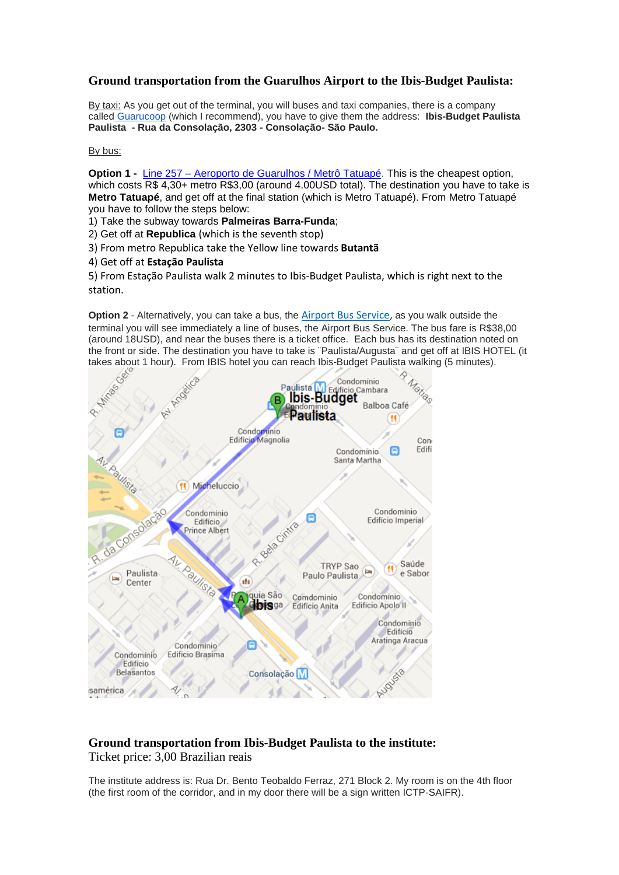## **Ground transportation from the Guarulhos Airport to the Ibis-Budget Paulista:**

By taxi: As you get out of the terminal, you will buses and taxi companies, there is a company called [Guarucoop](http://www.guarucoop.com.br/) (which I recommend), you have to give them the address: **Ibis-Budget Paulista Paulista - Rua da Consolação, 2303 - Consolação- São Paulo.**

## By bus:

**Option 1 -** Line 257 – Aeroporto de [Guarulhos](http://www.viajenaviagem.com/2011/01/a-boia-em-ponte-aerea-para-duros/) / Metrô Tatuapé. This is the cheapest option, which costs R\$ 4,30+ metro R\$3,00 (around 4.00USD total). The destination you have to take is **Metro Tatuapé**, and get off at the final station (which is Metro Tatuapé). From Metro Tatuapé you have to follow the steps below:

1) Take the subway towards **Palmeiras Barra-Funda**;

2) Get off at **Republica** (which is the seventh stop)

3) From metro Republica take the Yellow line towards **Butantã**

4) Get off at **Estação Paulista**

5) From Estação Paulista walk 2 minutes to Ibis-Budget Paulista, which is right next to the station.

**Option 2** - Alternatively, you can take a bus, the [Airport Bus Service,](http://www.airportbusservice.com.br/) as you walk outside the terminal you will see immediately a line of buses, the Airport Bus Service. The bus fare is R\$38,00 (around 18USD), and near the buses there is a ticket office. Each bus has its destination noted on the front or side. The destination you have to take is ¨Paulista/Augusta¨ and get off at IBIS HOTEL (it



## **Ground transportation from Ibis-Budget Paulista to the institute:**

Ticket price: 3,00 Brazilian reais

The institute address is: Rua Dr. Bento Teobaldo Ferraz, 271 Block 2. My room is on the 4th floor (the first room of the corridor, and in my door there will be a sign written ICTP-SAIFR).